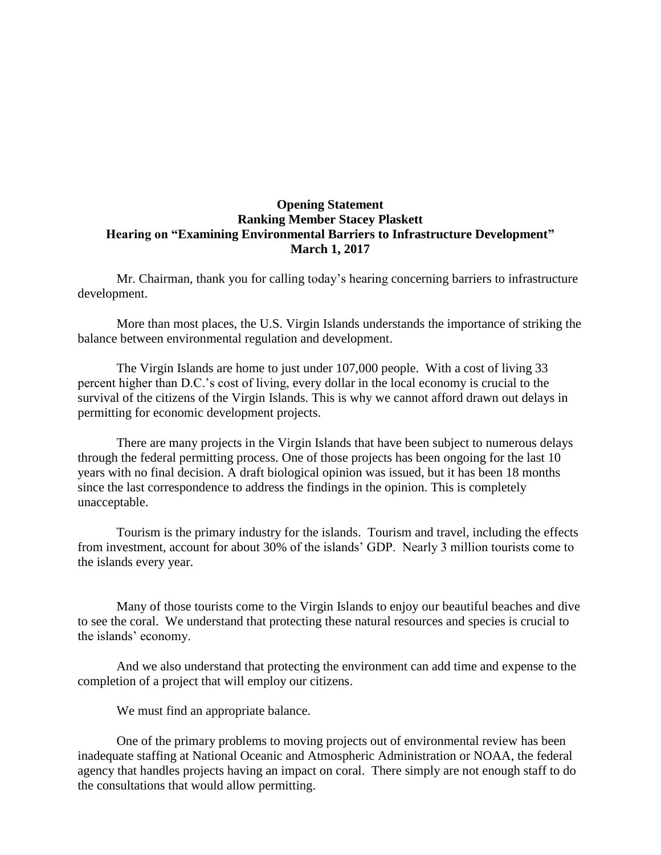## **Opening Statement Ranking Member Stacey Plaskett Hearing on "Examining Environmental Barriers to Infrastructure Development" March 1, 2017**

Mr. Chairman, thank you for calling today's hearing concerning barriers to infrastructure development.

More than most places, the U.S. Virgin Islands understands the importance of striking the balance between environmental regulation and development.

The Virgin Islands are home to just under 107,000 people. With a cost of living 33 percent higher than D.C.'s cost of living, every dollar in the local economy is crucial to the survival of the citizens of the Virgin Islands. This is why we cannot afford drawn out delays in permitting for economic development projects.

There are many projects in the Virgin Islands that have been subject to numerous delays through the federal permitting process. One of those projects has been ongoing for the last 10 years with no final decision. A draft biological opinion was issued, but it has been 18 months since the last correspondence to address the findings in the opinion. This is completely unacceptable.

Tourism is the primary industry for the islands. Tourism and travel, including the effects from investment, account for about 30% of the islands' GDP. Nearly 3 million tourists come to the islands every year.

Many of those tourists come to the Virgin Islands to enjoy our beautiful beaches and dive to see the coral. We understand that protecting these natural resources and species is crucial to the islands' economy.

And we also understand that protecting the environment can add time and expense to the completion of a project that will employ our citizens.

We must find an appropriate balance.

One of the primary problems to moving projects out of environmental review has been inadequate staffing at National Oceanic and Atmospheric Administration or NOAA, the federal agency that handles projects having an impact on coral. There simply are not enough staff to do the consultations that would allow permitting.